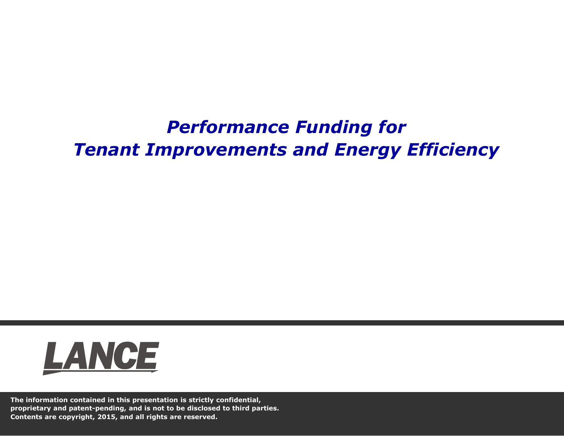# *Performance Funding for Tenant Improvements and Energy Efficiency*



**The information contained in this presentation is strictly confidential, proprietary and patent-pending, and is not to be disclosed to third parties. Contents are copyright, 2015, and all rights are reserved.**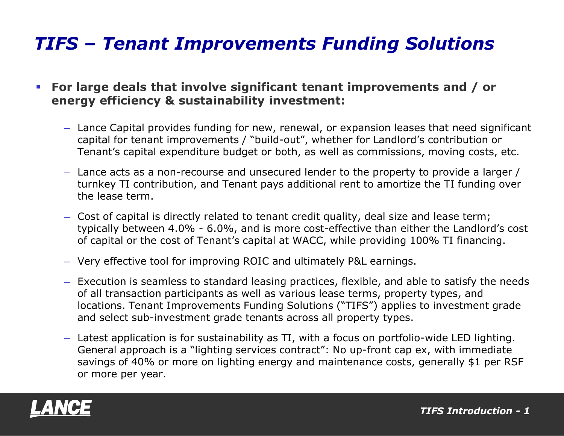## *TIFS – Tenant Improvements Funding Solutions*

 **For large deals that involve significant tenant improvements and / or energy efficiency & sustainability investment:**

- Lance Capital provides funding for new, renewal, or expansion leases that need significant capital for tenant improvements / "build-out", whether for Landlord's contribution or Tenant's capital expenditure budget or both, as well as commissions, moving costs, etc.
- Lance acts as a non-recourse and unsecured lender to the property to provide a larger / turnkey TI contribution, and Tenant pays additional rent to amortize the TI funding over the lease term.
- Cost of capital is directly related to tenant credit quality, deal size and lease term; typically between 4.0% - 6.0%, and is more cost-effective than either the Landlord's cost of capital or the cost of Tenant's capital at WACC, while providing 100% TI financing.
- Very effective tool for improving ROIC and ultimately P&L earnings.
- Execution is seamless to standard leasing practices, flexible, and able to satisfy the needs of all transaction participants as well as various lease terms, property types, and locations. Tenant Improvements Funding Solutions ("TIFS") applies to investment grade and select sub-investment grade tenants across all property types.
- Latest application is for sustainability as TI, with a focus on portfolio-wide LED lighting. General approach is a "lighting services contract": No up-front cap ex, with immediate savings of 40% or more on lighting energy and maintenance costs, generally \$1 per RSF or more per year.

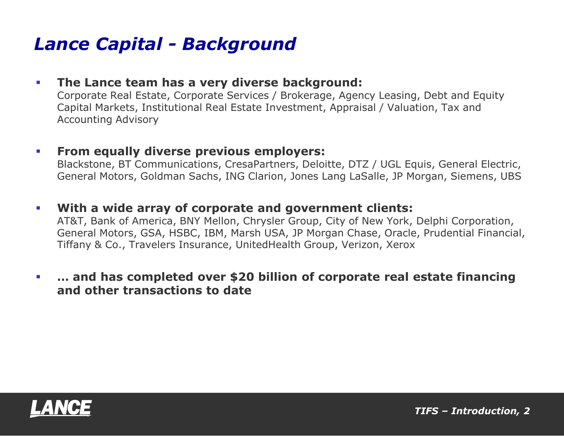### *Lance Capital - Background*

### **The Lance team has a very diverse background:**

Corporate Real Estate, Corporate Services / Brokerage, Agency Leasing, Debt and Equity Capital Markets, Institutional Real Estate Investment, Appraisal / Valuation, Tax and Accounting Advisory

#### **From equally diverse previous employers:**

Blackstone, BT Communications, CresaPartners, Deloitte, DTZ / UGL Equis, General Electric, General Motors, Goldman Sachs, ING Clarion, Jones Lang LaSalle, JP Morgan, Siemens, UBS

#### **With a wide array of corporate and government clients:**

AT&T, Bank of America, BNY Mellon, Chrysler Group, City of New York, Delphi Corporation, General Motors, GSA, HSBC, IBM, Marsh USA, JP Morgan Chase, Oracle, Prudential Financial, Tiffany & Co., Travelers Insurance, UnitedHealth Group, Verizon, Xerox

### **… and has completed over \$20 billion of corporate real estate financing and other transactions to date**

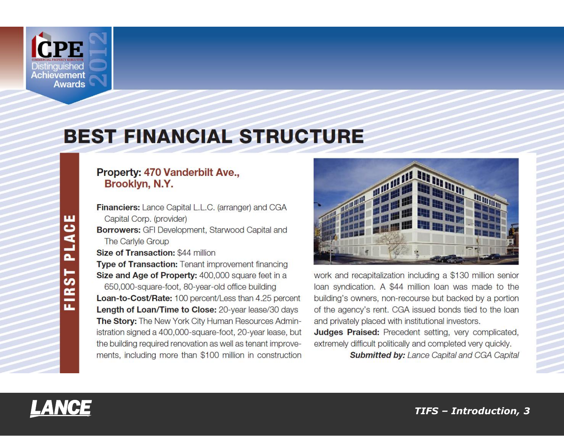

# **BEST FINANCIAL STRUCTURE**

#### Property: 470 Vanderbilt Ave., Brooklyn, N.Y.

Financiers: Lance Capital L.L.C. (arranger) and CGA Capital Corp. (provider) **Borrowers:** GFI Development, Starwood Capital and The Carlyle Group Size of Transaction: \$44 million

Type of Transaction: Tenant improvement financing Size and Age of Property: 400,000 square feet in a 650,000-square-foot, 80-year-old office building Loan-to-Cost/Rate: 100 percent/Less than 4.25 percent

Length of Loan/Time to Close: 20-year lease/30 days The Story: The New York City Human Resources Administration signed a 400,000-square-foot, 20-year lease, but the building required renovation as well as tenant improvements, including more than \$100 million in construction



work and recapitalization including a \$130 million senior loan syndication. A \$44 million loan was made to the building's owners, non-recourse but backed by a portion of the agency's rent. CGA issued bonds tied to the loan and privately placed with institutional investors.

Judges Praised: Precedent setting, very complicated, extremely difficult politically and completed very quickly.

**Submitted by: Lance Capital and CGA Capital** 

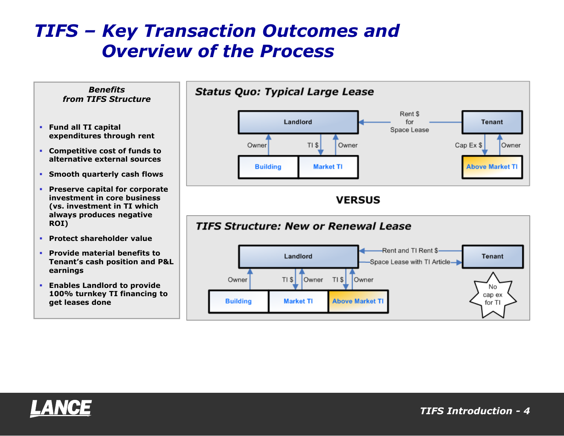## *TIFS – Key Transaction Outcomes and Overview of the Process*



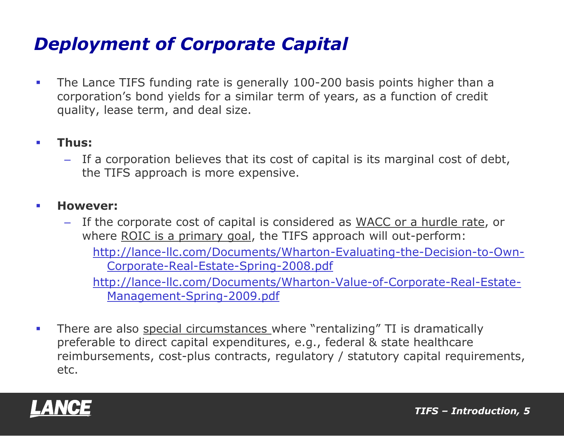## *Deployment of Corporate Capital*

**The Lance TIFS funding rate is generally 100-200 basis points higher than a** corporation's bond yields for a similar term of years, as a function of credit quality, lease term, and deal size.

### **Thus:**

– If a corporation believes that its cost of capital is its marginal cost of debt, the TIFS approach is more expensive.

### **However:**

– If the corporate cost of capital is considered as WACC or a hurdle rate, or where ROIC is a primary goal, the TIFS approach will out-perform:

http://lance-llc.com/Documents/Wharton-Evaluating-the-Decision-to-Own-Corporate-Real-Estate-Spring-2008.pdf

http://lance-llc.com/Documents/Wharton-Value-of-Corporate-Real-Estate-Management-Spring-2009.pdf

**There are also special circumstances where "rentalizing" TI is dramatically** preferable to direct capital expenditures, e.g., federal & state healthcare reimbursements, cost-plus contracts, regulatory / statutory capital requirements, etc.

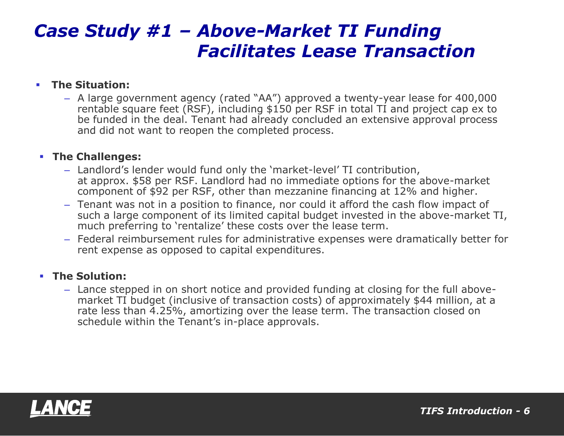## *Case Study #1 – Above-Market TI Funding Facilitates Lease Transaction*

#### **The Situation:**

– A large government agency (rated "AA") approved a twenty-year lease for 400,000 rentable square feet (RSF), including \$150 per RSF in total TI and project cap ex to be funded in the deal. Tenant had already concluded an extensive approval process and did not want to reopen the completed process.

#### **The Challenges:**

- Landlord's lender would fund only the 'market-level' TI contribution, at approx. \$58 per RSF. Landlord had no immediate options for the above-market component of \$92 per RSF, other than mezzanine financing at 12% and higher.
- Tenant was not in a position to finance, nor could it afford the cash flow impact of such a large component of its limited capital budget invested in the above-market TI, much preferring to 'rentalize' these costs over the lease term.
- Federal reimbursement rules for administrative expenses were dramatically better for rent expense as opposed to capital expenditures.

#### **The Solution:**

– Lance stepped in on short notice and provided funding at closing for the full abovemarket TI budget (inclusive of transaction costs) of approximately \$44 million, at a rate less than 4.25%, amortizing over the lease term. The transaction closed on schedule within the Tenant's in-place approvals.

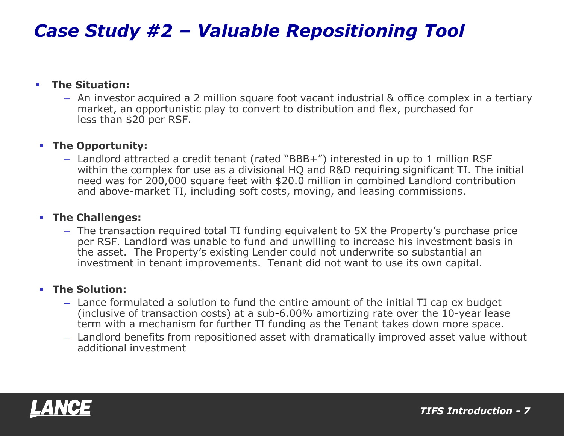## *Case Study #2 – Valuable Repositioning Tool*

#### **The Situation:**

– An investor acquired a 2 million square foot vacant industrial & office complex in a tertiary market, an opportunistic play to convert to distribution and flex, purchased for less than \$20 per RSF.

#### **The Opportunity:**

– Landlord attracted a credit tenant (rated "BBB+") interested in up to 1 million RSF within the complex for use as a divisional HQ and R&D requiring significant TI. The initial need was for 200,000 square feet with \$20.0 million in combined Landlord contribution and above-market TI, including soft costs, moving, and leasing commissions.

#### **The Challenges:**

– The transaction required total TI funding equivalent to 5X the Property's purchase price per RSF. Landlord was unable to fund and unwilling to increase his investment basis in the asset. The Property's existing Lender could not underwrite so substantial an investment in tenant improvements. Tenant did not want to use its own capital.

#### **The Solution:**

- Lance formulated a solution to fund the entire amount of the initial TI cap ex budget (inclusive of transaction costs) at a sub-6.00% amortizing rate over the 10-year lease term with a mechanism for further TI funding as the Tenant takes down more space.
- Landlord benefits from repositioned asset with dramatically improved asset value without additional investment

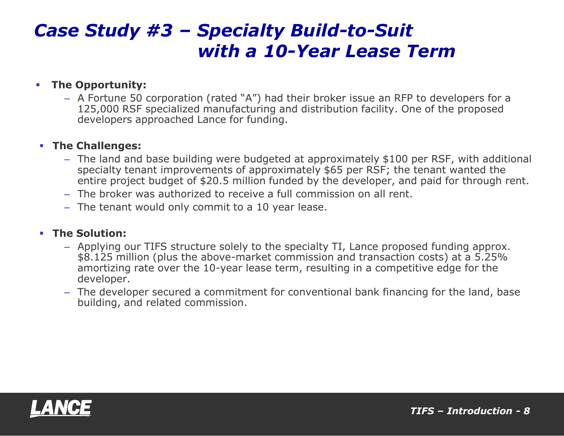### *Case Study #3 – Specialty Build-to-Suit with a 10-Year Lease Term*

#### **Fig.** The Opportunity:

– A Fortune 50 corporation (rated "A") had their broker issue an RFP to developers for a 125,000 RSF specialized manufacturing and distribution facility. One of the proposed developers approached Lance for funding.

#### **The Challenges:**

- The land and base building were budgeted at approximately \$100 per RSF, with additional specialty tenant improvements of approximately \$65 per RSF; the tenant wanted the entire project budget of \$20.5 million funded by the developer, and paid for through rent.
- The broker was authorized to receive a full commission on all rent.
- The tenant would only commit to a 10 year lease.

#### **The Solution:**

- Applying our TIFS structure solely to the specialty TI, Lance proposed funding approx. \$8.125 million (plus the above-market commission and transaction costs) at a 5.25% amortizing rate over the 10-year lease term, resulting in a competitive edge for the developer.
- The developer secured a commitment for conventional bank financing for the land, base building, and related commission.

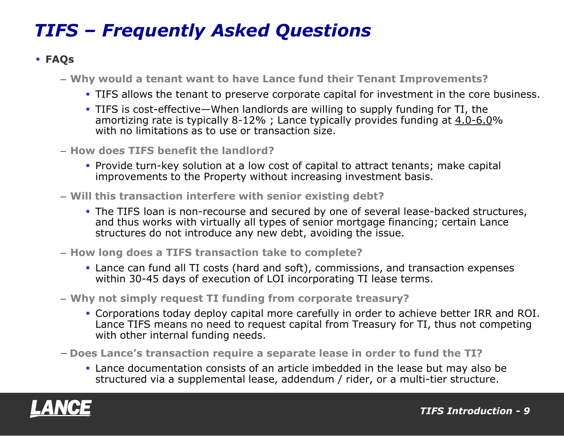# *TIFS – Frequently Asked Questions*

### **FAQs**

– **Why would a tenant want to have Lance fund their Tenant Improvements?**

- TIFS allows the tenant to preserve corporate capital for investment in the core business.
- TIFS is cost-effective—When landlords are willing to supply funding for TI, the amortizing rate is typically 8-12% ; Lance typically provides funding at 4.0-6.0% with no limitations as to use or transaction size.
- **How does TIFS benefit the landlord?**
	- Provide turn-key solution at a low cost of capital to attract tenants; make capital improvements to the Property without increasing investment basis.
- **Will this transaction interfere with senior existing debt?**
	- **The TIFS loan is non-recourse and secured by one of several lease-backed structures,** and thus works with virtually all types of senior mortgage financing; certain Lance structures do not introduce any new debt, avoiding the issue.
- **How long does a TIFS transaction take to complete?**
	- Lance can fund all TI costs (hard and soft), commissions, and transaction expenses within 30-45 days of execution of LOI incorporating TI lease terms.
- **Why not simply request TI funding from corporate treasury?**
	- Corporations today deploy capital more carefully in order to achieve better IRR and ROI. Lance TIFS means no need to request capital from Treasury for TI, thus not competing with other internal funding needs.
- − **Does Lance's transaction require a separate lease in order to fund the TI?**
	- Lance documentation consists of an article imbedded in the lease but may also be structured via a supplemental lease, addendum / rider, or a multi-tier structure.

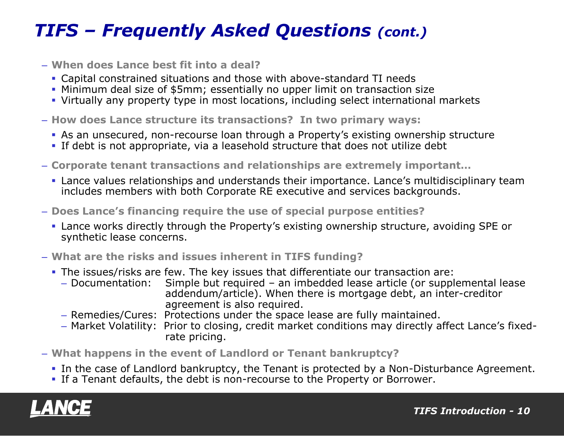## *TIFS – Frequently Asked Questions (cont.)*

- **When does Lance best fit into a deal?**
	- Capital constrained situations and those with above-standard TI needs
	- Minimum deal size of \$5mm; essentially no upper limit on transaction size
	- Virtually any property type in most locations, including select international markets
- **How does Lance structure its transactions? In two primary ways:**
	- As an unsecured, non-recourse loan through a Property's existing ownership structure
	- If debt is not appropriate, via a leasehold structure that does not utilize debt
- **Corporate tenant transactions and relationships are extremely important…**
	- Lance values relationships and understands their importance. Lance's multidisciplinary team includes members with both Corporate RE executive and services backgrounds.
- **Does Lance's financing require the use of special purpose entities?**
	- Lance works directly through the Property's existing ownership structure, avoiding SPE or synthetic lease concerns.
- **What are the risks and issues inherent in TIFS funding?**
	- The issues/risks are few. The key issues that differentiate our transaction are:
		- Documentation: Simple but required an imbedded lease article (or supplemental lease addendum/article). When there is mortgage debt, an inter-creditor agreement is also required.
		- Remedies/Cures: Protections under the space lease are fully maintained.
		- Market Volatility: Prior to closing, credit market conditions may directly affect Lance's fixed rate pricing.
- **What happens in the event of Landlord or Tenant bankruptcy?**
	- In the case of Landlord bankruptcy, the Tenant is protected by a Non-Disturbance Agreement.
	- If a Tenant defaults, the debt is non-recourse to the Property or Borrower.